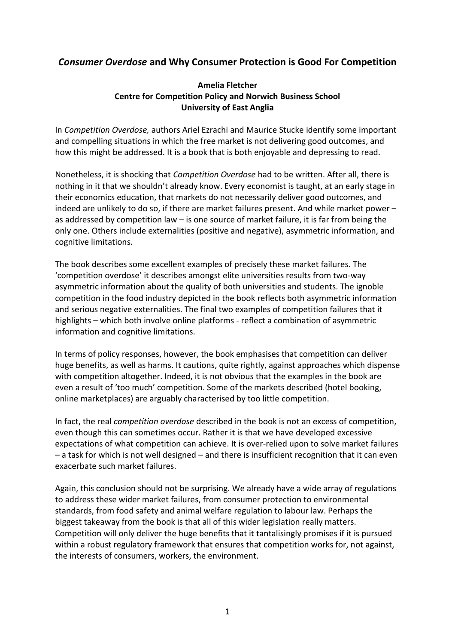# *Consumer Overdose* **and Why Consumer Protection is Good For Competition**

### **Amelia Fletcher Centre for Competition Policy and Norwich Business School University of East Anglia**

In *Competition Overdose,* authors Ariel Ezrachi and Maurice Stucke identify some important and compelling situations in which the free market is not delivering good outcomes, and how this might be addressed. It is a book that is both enjoyable and depressing to read.

Nonetheless, it is shocking that *Competition Overdose* had to be written. After all, there is nothing in it that we shouldn't already know. Every economist is taught, at an early stage in their economics education, that markets do not necessarily deliver good outcomes, and indeed are unlikely to do so, if there are market failures present. And while market power – as addressed by competition law – is one source of market failure, it is far from being the only one. Others include externalities (positive and negative), asymmetric information, and cognitive limitations.

The book describes some excellent examples of precisely these market failures. The 'competition overdose' it describes amongst elite universities results from two-way asymmetric information about the quality of both universities and students. The ignoble competition in the food industry depicted in the book reflects both asymmetric information and serious negative externalities. The final two examples of competition failures that it highlights – which both involve online platforms - reflect a combination of asymmetric information and cognitive limitations.

In terms of policy responses, however, the book emphasises that competition can deliver huge benefits, as well as harms. It cautions, quite rightly, against approaches which dispense with competition altogether. Indeed, it is not obvious that the examples in the book are even a result of 'too much' competition. Some of the markets described (hotel booking, online marketplaces) are arguably characterised by too little competition.

In fact, the real *competition overdose* described in the book is not an excess of competition, even though this can sometimes occur. Rather it is that we have developed excessive expectations of what competition can achieve. It is over-relied upon to solve market failures – a task for which is not well designed – and there is insufficient recognition that it can even exacerbate such market failures.

Again, this conclusion should not be surprising. We already have a wide array of regulations to address these wider market failures, from consumer protection to environmental standards, from food safety and animal welfare regulation to labour law. Perhaps the biggest takeaway from the book is that all of this wider legislation really matters. Competition will only deliver the huge benefits that it tantalisingly promises if it is pursued within a robust regulatory framework that ensures that competition works for, not against, the interests of consumers, workers, the environment.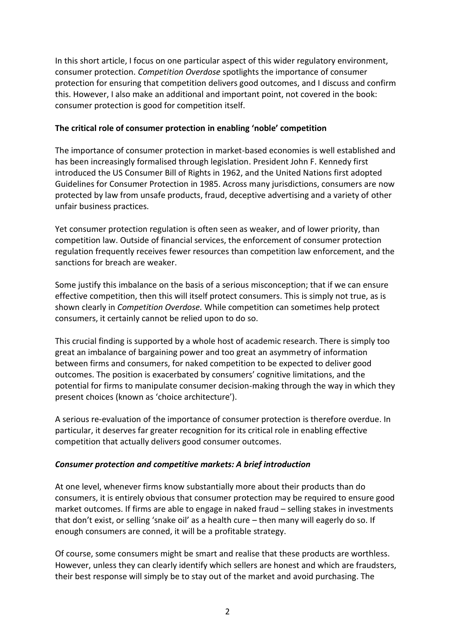In this short article, I focus on one particular aspect of this wider regulatory environment, consumer protection. *Competition Overdose* spotlights the importance of consumer protection for ensuring that competition delivers good outcomes, and I discuss and confirm this. However, I also make an additional and important point, not covered in the book: consumer protection is good for competition itself.

#### **The critical role of consumer protection in enabling 'noble' competition**

The importance of consumer protection in market-based economies is well established and has been increasingly formalised through legislation. President John F. Kennedy first introduced the US Consumer Bill of Rights in 1962, and the United Nations first adopted Guidelines for Consumer Protection in 1985. Across many jurisdictions, consumers are now protected by law from unsafe products, fraud, deceptive advertising and a variety of other unfair business practices.

Yet consumer protection regulation is often seen as weaker, and of lower priority, than competition law. Outside of financial services, the enforcement of consumer protection regulation frequently receives fewer resources than competition law enforcement, and the sanctions for breach are weaker.

Some justify this imbalance on the basis of a serious misconception; that if we can ensure effective competition, then this will itself protect consumers. This is simply not true, as is shown clearly in *Competition Overdose.* While competition can sometimes help protect consumers, it certainly cannot be relied upon to do so.

This crucial finding is supported by a whole host of academic research. There is simply too great an imbalance of bargaining power and too great an asymmetry of information between firms and consumers, for naked competition to be expected to deliver good outcomes. The position is exacerbated by consumers' cognitive limitations, and the potential for firms to manipulate consumer decision-making through the way in which they present choices (known as 'choice architecture').

A serious re-evaluation of the importance of consumer protection is therefore overdue. In particular, it deserves far greater recognition for its critical role in enabling effective competition that actually delivers good consumer outcomes.

### *Consumer protection and competitive markets: A brief introduction*

At one level, whenever firms know substantially more about their products than do consumers, it is entirely obvious that consumer protection may be required to ensure good market outcomes. If firms are able to engage in naked fraud – selling stakes in investments that don't exist, or selling 'snake oil' as a health cure – then many will eagerly do so. If enough consumers are conned, it will be a profitable strategy.

Of course, some consumers might be smart and realise that these products are worthless. However, unless they can clearly identify which sellers are honest and which are fraudsters, their best response will simply be to stay out of the market and avoid purchasing. The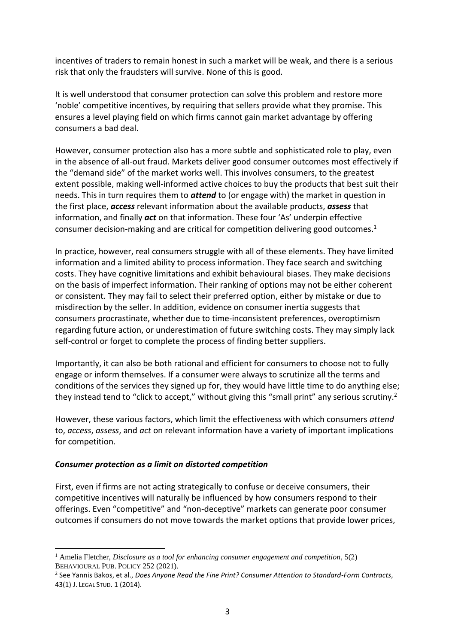incentives of traders to remain honest in such a market will be weak, and there is a serious risk that only the fraudsters will survive. None of this is good.

It is well understood that consumer protection can solve this problem and restore more 'noble' competitive incentives, by requiring that sellers provide what they promise. This ensures a level playing field on which firms cannot gain market advantage by offering consumers a bad deal.

However, consumer protection also has a more subtle and sophisticated role to play, even in the absence of all-out fraud. Markets deliver good consumer outcomes most effectively if the "demand side" of the market works well. This involves consumers, to the greatest extent possible, making well-informed active choices to buy the products that best suit their needs. This in turn requires them to *attend* to (or engage with) the market in question in the first place, *access* relevant information about the available products, *assess* that information, and finally *act* on that information. These four 'As' underpin effective consumer decision-making and are critical for competition delivering good outcomes. 1

In practice, however, real consumers struggle with all of these elements. They have limited information and a limited ability to process information. They face search and switching costs. They have cognitive limitations and exhibit behavioural biases. They make decisions on the basis of imperfect information. Their ranking of options may not be either coherent or consistent. They may fail to select their preferred option, either by mistake or due to misdirection by the seller. In addition, evidence on consumer inertia suggests that consumers procrastinate, whether due to time-inconsistent preferences, overoptimism regarding future action, or underestimation of future switching costs. They may simply lack self-control or forget to complete the process of finding better suppliers.

Importantly, it can also be both rational and efficient for consumers to choose not to fully engage or inform themselves. If a consumer were always to scrutinize all the terms and conditions of the services they signed up for, they would have little time to do anything else; they instead tend to "click to accept," without giving this "small print" any serious scrutiny.<sup>2</sup>

However, these various factors, which limit the effectiveness with which consumers *attend* to, *access*, *assess*, and *act* on relevant information have a variety of important implications for competition.

#### *Consumer protection as a limit on distorted competition*

First, even if firms are not acting strategically to confuse or deceive consumers, their competitive incentives will naturally be influenced by how consumers respond to their offerings. Even "competitive" and "non-deceptive" markets can generate poor consumer outcomes if consumers do not move towards the market options that provide lower prices,

<sup>1</sup> Amelia Fletcher, *Disclosure as a tool for enhancing consumer engagement and competition*, 5(2) BEHAVIOURAL PUB. POLICY 252 (2021).

<sup>2</sup> See Yannis Bakos, et al., *Does Anyone Read the Fine Print? Consumer Attention to Standard-Form Contracts*, 43(1) J. LEGAL STUD. 1 (2014).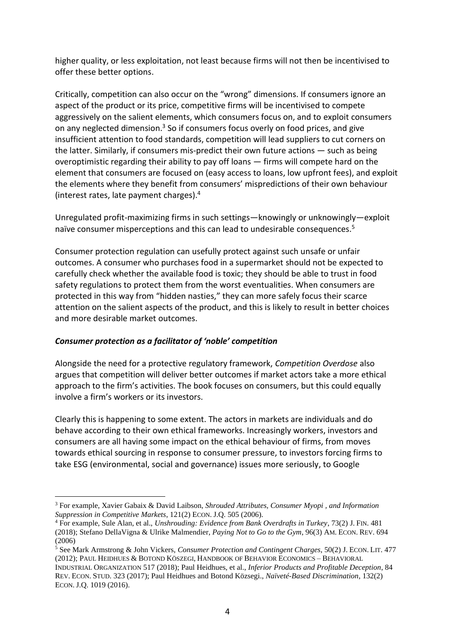higher quality, or less exploitation, not least because firms will not then be incentivised to offer these better options.

Critically, competition can also occur on the "wrong" dimensions. If consumers ignore an aspect of the product or its price, competitive firms will be incentivised to compete aggressively on the salient elements, which consumers focus on, and to exploit consumers on any neglected dimension.<sup>3</sup> So if consumers focus overly on food prices, and give insufficient attention to food standards, competition will lead suppliers to cut corners on the latter. Similarly, if consumers mis-predict their own future actions — such as being overoptimistic regarding their ability to pay off loans — firms will compete hard on the element that consumers are focused on (easy access to loans, low upfront fees), and exploit the elements where they benefit from consumers' mispredictions of their own behaviour (interest rates, late payment charges). 4

Unregulated profit-maximizing firms in such settings—knowingly or unknowingly—exploit naïve consumer misperceptions and this can lead to undesirable consequences. 5

Consumer protection regulation can usefully protect against such unsafe or unfair outcomes. A consumer who purchases food in a supermarket should not be expected to carefully check whether the available food is toxic; they should be able to trust in food safety regulations to protect them from the worst eventualities. When consumers are protected in this way from "hidden nasties," they can more safely focus their scarce attention on the salient aspects of the product, and this is likely to result in better choices and more desirable market outcomes.

### *Consumer protection as a facilitator of 'noble' competition*

Alongside the need for a protective regulatory framework, *Competition Overdose* also argues that competition will deliver better outcomes if market actors take a more ethical approach to the firm's activities. The book focuses on consumers, but this could equally involve a firm's workers or its investors.

Clearly this is happening to some extent. The actors in markets are individuals and do behave according to their own ethical frameworks. Increasingly workers, investors and consumers are all having some impact on the ethical behaviour of firms, from moves towards ethical sourcing in response to consumer pressure, to investors forcing firms to take ESG (environmental, social and governance) issues more seriously, to Google

<sup>3</sup> For example, Xavier Gabaix & David Laibson, *Shrouded Attributes, Consumer Myopi , and Information Suppression in Competitive Markets*, 121(2) ECON. J.Q. 505 (2006).

<sup>4</sup> For example, Sule Alan, et al., *Unshrouding: Evidence from Bank Overdrafts in Turkey*, 73(2) J. FIN. 481 (2018); Stefano DellaVigna & Ulrike Malmendier, *Paying Not to Go to the Gym*, 96(3) AM. ECON. REV. 694 (2006)

<sup>5</sup> See Mark Armstrong & John Vickers, *Consumer Protection and Contingent Charges*, 50(2) J. ECON. LIT. 477 (2012); PAUL HEIDHUES & BOTOND KÖSZEGI, HANDBOOK OF BEHAVIOR ECONOMICS – BEHAVIORAL

INDUSTRIAL ORGANIZATION 517 (2018); Paul Heidhues, et al., *Inferior Products and Profitable Deception*, 84 REV. ECON. STUD. 323 (2017); Paul Heidhues and Botond Közsegi., *Naïveté-Based Discrimination*, 132(2) ECON. J.Q. 1019 (2016).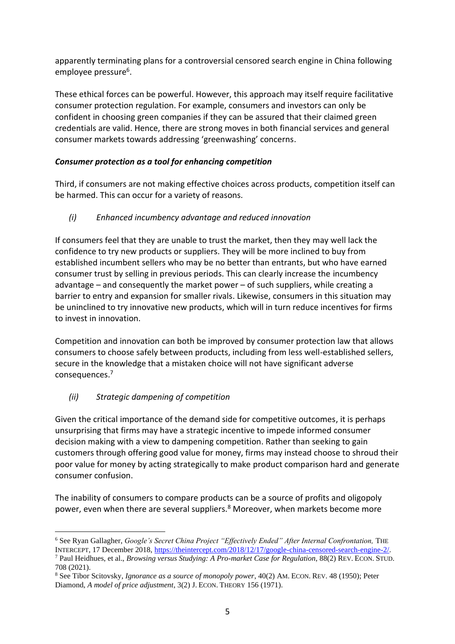apparently terminating plans for a controversial censored search engine in China following employee pressure<sup>6</sup>.

These ethical forces can be powerful. However, this approach may itself require facilitative consumer protection regulation. For example, consumers and investors can only be confident in choosing green companies if they can be assured that their claimed green credentials are valid. Hence, there are strong moves in both financial services and general consumer markets towards addressing 'greenwashing' concerns.

## *Consumer protection as a tool for enhancing competition*

Third, if consumers are not making effective choices across products, competition itself can be harmed. This can occur for a variety of reasons.

# *(i) Enhanced incumbency advantage and reduced innovation*

If consumers feel that they are unable to trust the market, then they may well lack the confidence to try new products or suppliers. They will be more inclined to buy from established incumbent sellers who may be no better than entrants, but who have earned consumer trust by selling in previous periods. This can clearly increase the incumbency advantage – and consequently the market power – of such suppliers, while creating a barrier to entry and expansion for smaller rivals. Likewise, consumers in this situation may be uninclined to try innovative new products, which will in turn reduce incentives for firms to invest in innovation.

Competition and innovation can both be improved by consumer protection law that allows consumers to choose safely between products, including from less well-established sellers, secure in the knowledge that a mistaken choice will not have significant adverse consequences.<sup>7</sup>

# *(ii) Strategic dampening of competition*

Given the critical importance of the demand side for competitive outcomes, it is perhaps unsurprising that firms may have a strategic incentive to impede informed consumer decision making with a view to dampening competition. Rather than seeking to gain customers through offering good value for money, firms may instead choose to shroud their poor value for money by acting strategically to make product comparison hard and generate consumer confusion.

The inability of consumers to compare products can be a source of profits and oligopoly power, even when there are several suppliers.<sup>8</sup> Moreover, when markets become more

<sup>&</sup>lt;sup>6</sup> See Ryan Gallagher, *Google's Secret China Project "Effectively Ended" After Internal Confrontation*, THE INTERCEPT, 17 December 2018, [https://theintercept.com/2018/12/17/google-china-censored-search-engine-2/.](https://theintercept.com/2018/12/17/google-china-censored-search-engine-2/) <sup>7</sup> Paul Heidhues, et al., *Browsing versus Studying: A Pro-market Case for Regulation*, 88(2) REV. ECON. STUD. 708 (2021).

<sup>8</sup> See Tibor Scitovsky, *Ignorance as a source of monopoly power*, 40(2) AM. ECON. REV. 48 (1950); Peter Diamond, *A model of price adjustment*, 3(2) J. ECON. THEORY 156 (1971).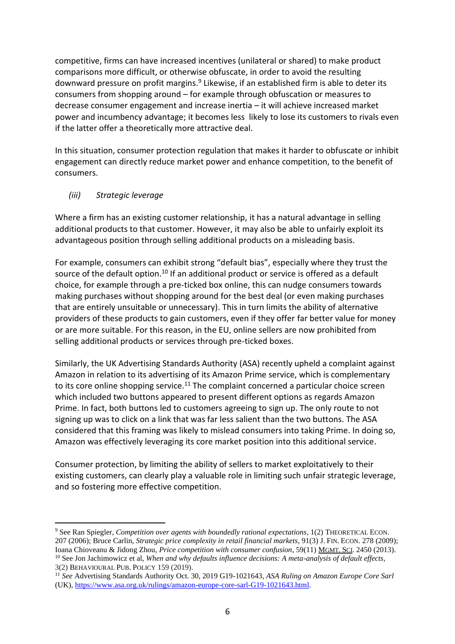competitive, firms can have increased incentives (unilateral or shared) to make product comparisons more difficult, or otherwise obfuscate, in order to avoid the resulting downward pressure on profit margins.<sup>9</sup> Likewise, if an established firm is able to deter its consumers from shopping around – for example through obfuscation or measures to decrease consumer engagement and increase inertia – it will achieve increased market power and incumbency advantage; it becomes less likely to lose its customers to rivals even if the latter offer a theoretically more attractive deal.

In this situation, consumer protection regulation that makes it harder to obfuscate or inhibit engagement can directly reduce market power and enhance competition, to the benefit of consumers.

## *(iii) Strategic leverage*

Where a firm has an existing customer relationship, it has a natural advantage in selling additional products to that customer. However, it may also be able to unfairly exploit its advantageous position through selling additional products on a misleading basis.

For example, consumers can exhibit strong "default bias", especially where they trust the source of the default option.<sup>10</sup> If an additional product or service is offered as a default choice, for example through a pre-ticked box online, this can nudge consumers towards making purchases without shopping around for the best deal (or even making purchases that are entirely unsuitable or unnecessary). This in turn limits the ability of alternative providers of these products to gain customers, even if they offer far better value for money or are more suitable. For this reason, in the EU, online sellers are now prohibited from selling additional products or services through pre-ticked boxes.

Similarly, the UK Advertising Standards Authority (ASA) recently upheld a complaint against Amazon in relation to its advertising of its Amazon Prime service, which is complementary to its core online shopping service.<sup>11</sup> The complaint concerned a particular choice screen which included two buttons appeared to present different options as regards Amazon Prime. In fact, both buttons led to customers agreeing to sign up. The only route to not signing up was to click on a link that was far less salient than the two buttons. The ASA considered that this framing was likely to mislead consumers into taking Prime. In doing so, Amazon was effectively leveraging its core market position into this additional service.

Consumer protection, by limiting the ability of sellers to market exploitatively to their existing customers, can clearly play a valuable role in limiting such unfair strategic leverage, and so fostering more effective competition.

<sup>9</sup> See Ran Spiegler, *Competition over agents with boundedly rational expectations*, 1(2) THEORETICAL ECON. 207 (2006); Bruce Carlin, *Strategic price complexity in retail financial markets*, 91(3) J. FIN. ECON. 278 (2009); Ioana Chioveanu & Jidong Zhou, *Price competition with consumer confusion*, 59(11) MGMT. SCI. 2450 (2013). <sup>10</sup> See Jon Jachimowicz et al, *When and why defaults influence decisions: A meta-analysis of default effects,* 3(2) BEHAVIOURAL PUB. POLICY 159 (2019).

<sup>11</sup> *See* Advertising Standards Authority Oct. 30, 2019 G19-1021643, *ASA Ruling on Amazon Europe Core Sarl* (UK), [https://www.asa.org.uk/rulings/amazon-europe-core-sarl-G19-1021643.html.](https://www.asa.org.uk/rulings/amazon-europe-core-sarl-G19-1021643.html)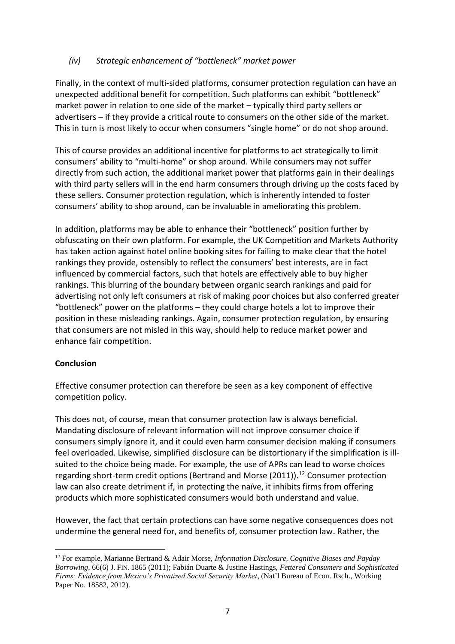## *(iv) Strategic enhancement of "bottleneck" market power*

Finally, in the context of multi-sided platforms, consumer protection regulation can have an unexpected additional benefit for competition. Such platforms can exhibit "bottleneck" market power in relation to one side of the market – typically third party sellers or advertisers – if they provide a critical route to consumers on the other side of the market. This in turn is most likely to occur when consumers "single home" or do not shop around.

This of course provides an additional incentive for platforms to act strategically to limit consumers' ability to "multi-home" or shop around. While consumers may not suffer directly from such action, the additional market power that platforms gain in their dealings with third party sellers will in the end harm consumers through driving up the costs faced by these sellers. Consumer protection regulation, which is inherently intended to foster consumers' ability to shop around, can be invaluable in ameliorating this problem.

In addition, platforms may be able to enhance their "bottleneck" position further by obfuscating on their own platform. For example, the UK Competition and Markets Authority has taken action against hotel online booking sites for failing to make clear that the hotel rankings they provide, ostensibly to reflect the consumers' best interests, are in fact influenced by commercial factors, such that hotels are effectively able to buy higher rankings. This blurring of the boundary between organic search rankings and paid for advertising not only left consumers at risk of making poor choices but also conferred greater "bottleneck" power on the platforms – they could charge hotels a lot to improve their position in these misleading rankings. Again, consumer protection regulation, by ensuring that consumers are not misled in this way, should help to reduce market power and enhance fair competition.

### **Conclusion**

Effective consumer protection can therefore be seen as a key component of effective competition policy.

This does not, of course, mean that consumer protection law is always beneficial. Mandating disclosure of relevant information will not improve consumer choice if consumers simply ignore it, and it could even harm consumer decision making if consumers feel overloaded. Likewise, simplified disclosure can be distortionary if the simplification is illsuited to the choice being made. For example, the use of APRs can lead to worse choices regarding short-term credit options (Bertrand and Morse (2011)).<sup>12</sup> Consumer protection law can also create detriment if, in protecting the naïve, it inhibits firms from offering products which more sophisticated consumers would both understand and value.

However, the fact that certain protections can have some negative consequences does not undermine the general need for, and benefits of, consumer protection law. Rather, the

<sup>12</sup> For example, Marianne Bertrand & Adair Morse, *Information Disclosure, Cognitive Biases and Payday Borrowing*, 66(6) J. FIN. 1865 (2011); Fabián Duarte & Justine Hastings, *Fettered Consumers and Sophisticated Firms: Evidence from Mexico's Privatized Social Security Market*, (Nat'l Bureau of Econ. Rsch., Working Paper No. 18582, 2012).